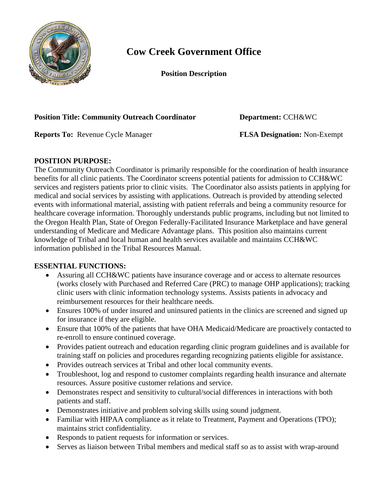

# **Cow Creek Government Office**

**Position Description**

## **Position Title: Community Outreach Coordinator Department:** CCH&WC

**Reports To:** Revenue Cycle Manager **FLSA Designation:** Non-Exempt

# **POSITION PURPOSE:**

The Community Outreach Coordinator is primarily responsible for the coordination of health insurance benefits for all clinic patients. The Coordinator screens potential patients for admission to CCH&WC services and registers patients prior to clinic visits. The Coordinator also assists patients in applying for medical and social services by assisting with applications. Outreach is provided by attending selected events with informational material, assisting with patient referrals and being a community resource for healthcare coverage information. Thoroughly understands public programs, including but not limited to the Oregon Health Plan, State of Oregon Federally-Facilitated Insurance Marketplace and have general understanding of Medicare and Medicare Advantage plans. This position also maintains current knowledge of Tribal and local human and health services available and maintains CCH&WC information published in the Tribal Resources Manual.

## **ESSENTIAL FUNCTIONS:**

- Assuring all CCH&WC patients have insurance coverage and or access to alternate resources (works closely with Purchased and Referred Care (PRC) to manage OHP applications); tracking clinic users with clinic information technology systems. Assists patients in advocacy and reimbursement resources for their healthcare needs.
- Ensures 100% of under insured and uninsured patients in the clinics are screened and signed up for insurance if they are eligible.
- Ensure that 100% of the patients that have OHA Medicaid/Medicare are proactively contacted to re-enroll to ensure continued coverage.
- Provides patient outreach and education regarding clinic program guidelines and is available for training staff on policies and procedures regarding recognizing patients eligible for assistance.
- Provides outreach services at Tribal and other local community events.
- Troubleshoot, log and respond to customer complaints regarding health insurance and alternate resources. Assure positive customer relations and service.
- Demonstrates respect and sensitivity to cultural/social differences in interactions with both patients and staff.
- Demonstrates initiative and problem solving skills using sound judgment.
- Familiar with HIPAA compliance as it relate to Treatment, Payment and Operations (TPO); maintains strict confidentiality.
- Responds to patient requests for information or services.
- Serves as liaison between Tribal members and medical staff so as to assist with wrap-around